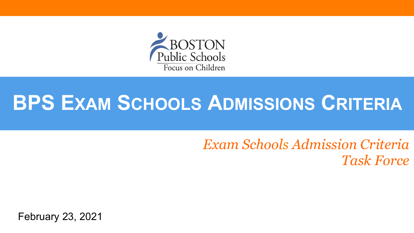

# **BPS EXAM SCHOOLS ADMISSIONS CRITERIA**

*Exam Schools Admission Criteria Task Force*

February 23, 2021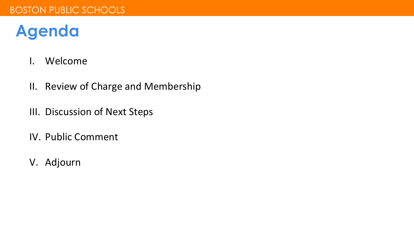### **Agenda**

- I. Welcome
- II. Review of Charge and Membership
- III. Discussion of Next Steps
- IV. Public Comment
- V. Adjourn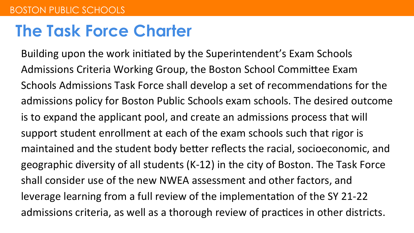#### **The Task Force Charter**

Building upon the work initiated by the Superintendent's Exam Schools Admissions Criteria Working Group, the Boston School Committee Exam Schools Admissions Task Force shall develop a set of recommendations for the admissions policy for Boston Public Schools exam schools. The desired outcome is to expand the applicant pool, and create an admissions process that will support student enrollment at each of the exam schools such that rigor is maintained and the student body better reflects the racial, socioeconomic, and geographic diversity of all students  $(K-12)$  in the city of Boston. The Task Force shall consider use of the new NWEA assessment and other factors, and leverage learning from a full review of the implementation of the SY 21-22 admissions criteria, as well as a thorough review of practices in other districts.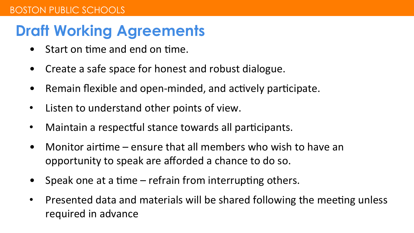#### **Draft Working Agreements**

- Start on time and end on time.
- Create a safe space for honest and robust dialogue.
- Remain flexible and open-minded, and actively participate.
- Listen to understand other points of view.
- Maintain a respectful stance towards all participants.
- Monitor airtime  $-$  ensure that all members who wish to have an opportunity to speak are afforded a chance to do so.
- Speak one at a time  $-$  refrain from interrupting others.
- Presented data and materials will be shared following the meeting unless required in advance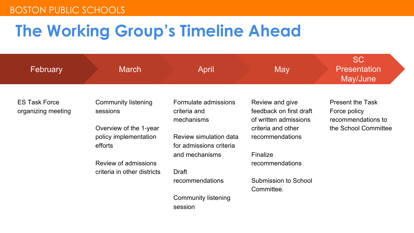# **The Working Group's Timeline Ahead**

| February                                   | <b>March</b>                                               | April                                              | May                                                                 | <b>SC</b><br><b>Presentation</b><br>May/June                  |
|--------------------------------------------|------------------------------------------------------------|----------------------------------------------------|---------------------------------------------------------------------|---------------------------------------------------------------|
| <b>ES Task Force</b><br>organizing meeting | Community listening<br>sessions                            | Formulate admissions<br>criteria and<br>mechanisms | Review and give<br>feedback on first draft<br>of written admissions | <b>Present the Task</b><br>Force policy<br>recommendations to |
|                                            | Overview of the 1-year<br>policy implementation<br>efforts | Review simulation data<br>for admissions criteria  | criteria and other<br>recommendations                               | the School Committee                                          |
|                                            | Review of admissions                                       | and mechanisms                                     | Finalize<br>recommendations                                         |                                                               |
|                                            | criteria in other districts                                | Draft<br>recommendations                           | Submission to School<br>Committee.                                  |                                                               |
|                                            |                                                            | Community listening<br>session                     |                                                                     |                                                               |
|                                            |                                                            |                                                    |                                                                     |                                                               |